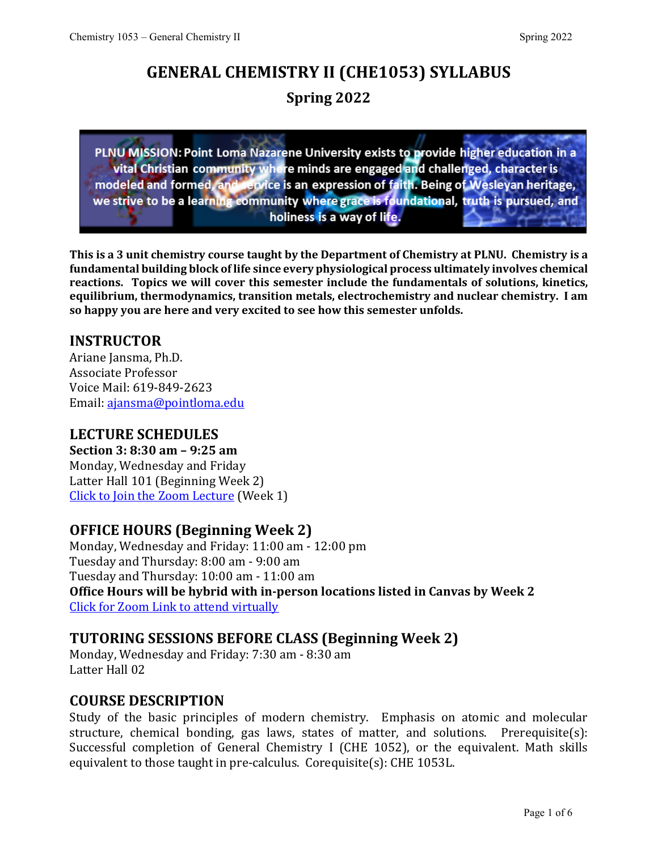# **GENERAL CHEMISTRY II (CHE1053) SYLLABUS Spring 2022**

PLNU MISSION: Point Loma Nazarene University exists to provide higher education in a vital Christian community where minds are engaged and challenged, character is modeled and formed, and service is an expression of faith. Being of Wesleyan heritage,<br>we strive to be a learning community where grace is foundational, truth is pursued, and holiness is a way of life.

**This is a 3 unit chemistry course taught by the Department of Chemistry at PLNU. Chemistry is a fundamental building block of life since every physiological process ultimately involves chemical reactions. Topics we will cover this semester include the fundamentals of solutions, kinetics, equilibrium, thermodynamics, transition metals, electrochemistry and nuclear chemistry. I am so happy you are here and very excited to see how this semester unfolds.** 

# **INSTRUCTOR**

Ariane Jansma, Ph.D. Associate Professor Voice Mail: 619-849-2623 Email: [ajansma@pointloma.edu](mailto:ajansma@pointloma.edu)

#### **LECTURE SCHEDULES**

**Section 3: 8:30 am – 9:25 am** Monday, Wednesday and Friday Latter Hall 101 (Beginning Week 2) Click [to Join the Zoom Lecture](https://pointloma.zoom.us/j/91695448616) (Week 1)

#### **OFFICE HOURS (Beginning Week 2)**

Monday, Wednesday and Friday: 11:00 am - 12:00 pm Tuesday and Thursday: 8:00 am - 9:00 am Tuesday and Thursday: 10:00 am - 11:00 am **Office Hours will be hybrid with in-person locations listed in Canvas by Week 2** [Click for Zoom Link to attend virtually](https://pointloma.zoom.us/j/97243300338)

#### **TUTORING SESSIONS BEFORE CLASS (Beginning Week 2)**

Monday, Wednesday and Friday: 7:30 am - 8:30 am Latter Hall 02

#### **COURSE DESCRIPTION**

Study of the basic principles of modern chemistry. Emphasis on atomic and molecular structure, chemical bonding, gas laws, states of matter, and solutions. Prerequisite(s): Successful completion of General Chemistry I (CHE 1052), or the equivalent. Math skills equivalent to those taught in pre-calculus. Corequisite(s): CHE 1053L.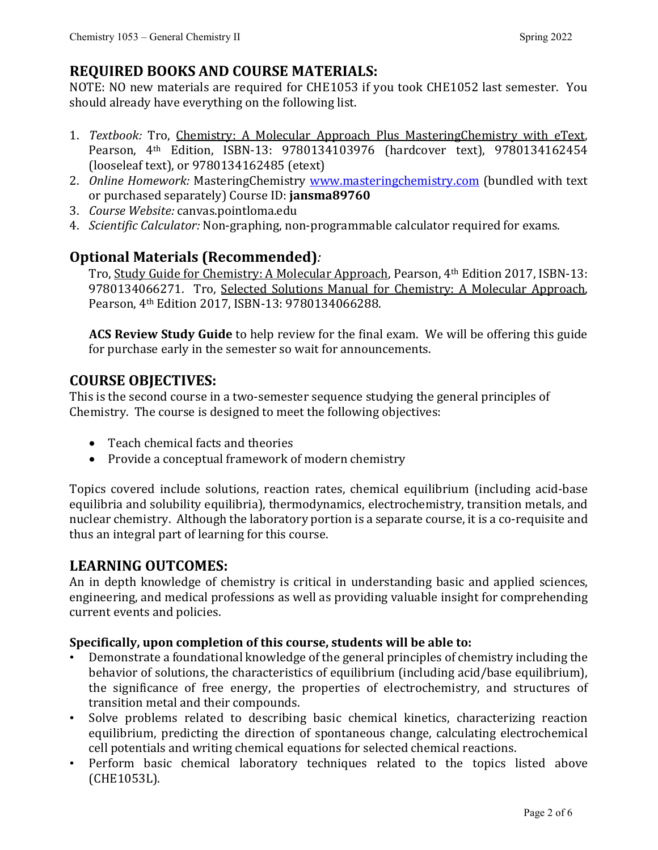# **REQUIRED BOOKS AND COURSE MATERIALS:**

NOTE: NO new materials are required for CHE1053 if you took CHE1052 last semester. You should already have everything on the following list.

- 1. *Textbook:* Tro, Chemistry: A Molecular Approach Plus MasteringChemistry with eText, Pearson, 4th Edition, ISBN-13: 9780134103976 (hardcover text), 9780134162454 (looseleaf text), or 9780134162485 (etext)
- 2. *Online Homework:* MasteringChemistry [www.masteringchemistry.com](http://www.masteringchemistry.com/) (bundled with text or purchased separately) Course ID: **jansma89760**
- 3. *Course Website:* canvas.pointloma.edu
- 4. *Scientific Calculator:* Non-graphing, non-programmable calculator required for exams.

# **Optional Materials (Recommended)***:*

Tro, Study Guide for Chemistry: A Molecular Approach, Pearson, 4th Edition 2017, ISBN-13: 9780134066271. Tro, Selected Solutions Manual for Chemistry: A Molecular Approach, Pearson, 4th Edition 2017, ISBN-13: 9780134066288.

**ACS Review Study Guide** to help review for the final exam. We will be offering this guide for purchase early in the semester so wait for announcements.

#### **COURSE OBJECTIVES:**

This is the second course in a two-semester sequence studying the general principles of Chemistry. The course is designed to meet the following objectives:

- Teach chemical facts and theories
- Provide a conceptual framework of modern chemistry

Topics covered include solutions, reaction rates, chemical equilibrium (including acid-base equilibria and solubility equilibria), thermodynamics, electrochemistry, transition metals, and nuclear chemistry. Although the laboratory portion is a separate course, it is a co-requisite and thus an integral part of learning for this course.

#### **LEARNING OUTCOMES:**

An in depth knowledge of chemistry is critical in understanding basic and applied sciences, engineering, and medical professions as well as providing valuable insight for comprehending current events and policies.

#### **Specifically, upon completion of this course, students will be able to:**

- Demonstrate a foundational knowledge of the general principles of chemistry including the behavior of solutions, the characteristics of equilibrium (including acid/base equilibrium), the significance of free energy, the properties of electrochemistry, and structures of transition metal and their compounds.
- Solve problems related to describing basic chemical kinetics, characterizing reaction equilibrium, predicting the direction of spontaneous change, calculating electrochemical cell potentials and writing chemical equations for selected chemical reactions.
- Perform basic chemical laboratory techniques related to the topics listed above (CHE1053L).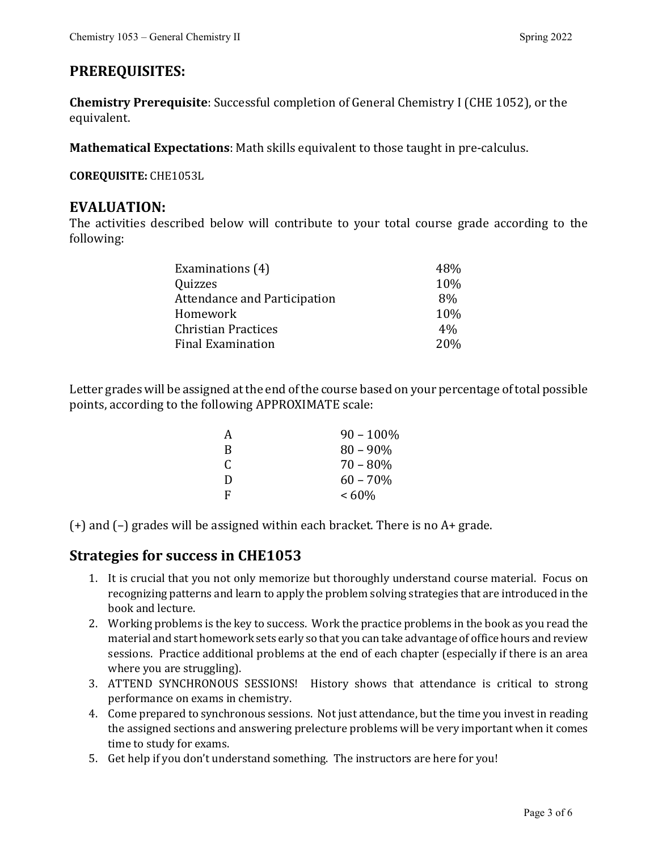# **PREREQUISITES:**

**Chemistry Prerequisite**: Successful completion of General Chemistry I (CHE 1052), or the equivalent.

**Mathematical Expectations**: Math skills equivalent to those taught in pre-calculus.

**COREQUISITE:** CHE1053L

#### **EVALUATION:**

The activities described below will contribute to your total course grade according to the following:

| Examinations (4)                    | 48%             |
|-------------------------------------|-----------------|
| Quizzes                             | 10%             |
| <b>Attendance and Participation</b> | 8%              |
| Homework                            | 10%             |
| <b>Christian Practices</b>          | $4\%$           |
| <b>Final Examination</b>            | 20 <sub>%</sub> |

Letter grades will be assigned at the end of the course based on your percentage of total possible points, according to the following APPROXIMATE scale:

| А | $90 - 100\%$ |
|---|--------------|
| R | $80 - 90\%$  |
| C | $70 - 80\%$  |
| D | $60 - 70\%$  |
| F | $<60\%$      |

(+) and (–) grades will be assigned within each bracket. There is no A+ grade.

#### **Strategies for success in CHE1053**

- 1. It is crucial that you not only memorize but thoroughly understand course material. Focus on recognizing patterns and learn to apply the problem solving strategies that are introduced in the book and lecture.
- 2. Working problems is the key to success. Work the practice problems in the book as you read the material and start homework sets early so that you can take advantage of office hours and review sessions. Practice additional problems at the end of each chapter (especially if there is an area where you are struggling).
- 3. ATTEND SYNCHRONOUS SESSIONS! History shows that attendance is critical to strong performance on exams in chemistry.
- 4. Come prepared to synchronous sessions. Not just attendance, but the time you invest in reading the assigned sections and answering prelecture problems will be very important when it comes time to study for exams.
- 5. Get help if you don't understand something. The instructors are here for you!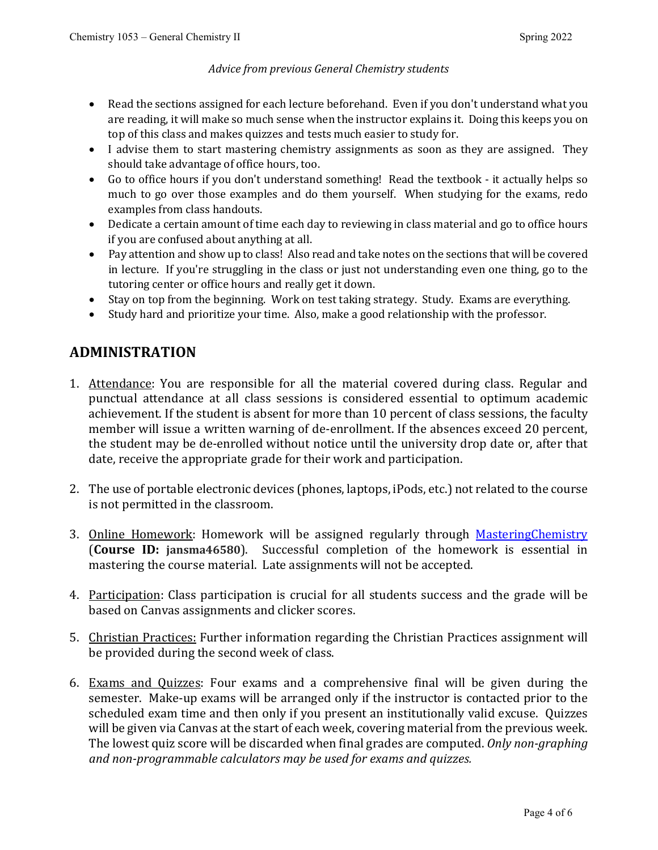#### *Advice from previous General Chemistry students*

- Read the sections assigned for each lecture beforehand. Even if you don't understand what you are reading, it will make so much sense when the instructor explains it. Doing this keeps you on top of this class and makes quizzes and tests much easier to study for.
- I advise them to start mastering chemistry assignments as soon as they are assigned. They should take advantage of office hours, too.
- Go to office hours if you don't understand something! Read the textbook it actually helps so much to go over those examples and do them yourself. When studying for the exams, redo examples from class handouts.
- Dedicate a certain amount of time each day to reviewing in class material and go to office hours if you are confused about anything at all.
- Pay attention and show up to class! Also read and take notes on the sections that will be covered in lecture. If you're struggling in the class or just not understanding even one thing, go to the tutoring center or office hours and really get it down.
- Stay on top from the beginning. Work on test taking strategy. Study. Exams are everything.
- Study hard and prioritize your time. Also, make a good relationship with the professor.

# **ADMINISTRATION**

- 1. Attendance: You are responsible for all the material covered during class. Regular and punctual attendance at all class sessions is considered essential to optimum academic achievement. If the student is absent for more than 10 percent of class sessions, the faculty member will issue a written warning of de-enrollment. If the absences exceed 20 percent, the student may be de-enrolled without notice until the university drop date or, after that date, receive the appropriate grade for their work and participation.
- 2. The use of portable electronic devices (phones, laptops, iPods, etc.) not related to the course is not permitted in the classroom.
- 3. Online Homework: Homework will be assigned regularly through [MasteringChemistry](https://www.pearsonmylabandmastering.com/northamerica/masteringchemistry/) (**Course ID: jansma46580**). Successful completion of the homework is essential in mastering the course material. Late assignments will not be accepted.
- 4. Participation: Class participation is crucial for all students success and the grade will be based on Canvas assignments and clicker scores.
- 5. Christian Practices: Further information regarding the Christian Practices assignment will be provided during the second week of class.
- 6. Exams and Quizzes: Four exams and a comprehensive final will be given during the semester. Make-up exams will be arranged only if the instructor is contacted prior to the scheduled exam time and then only if you present an institutionally valid excuse. Quizzes will be given via Canvas at the start of each week, covering material from the previous week. The lowest quiz score will be discarded when final grades are computed. *Only non-graphing and non-programmable calculators may be used for exams and quizzes.*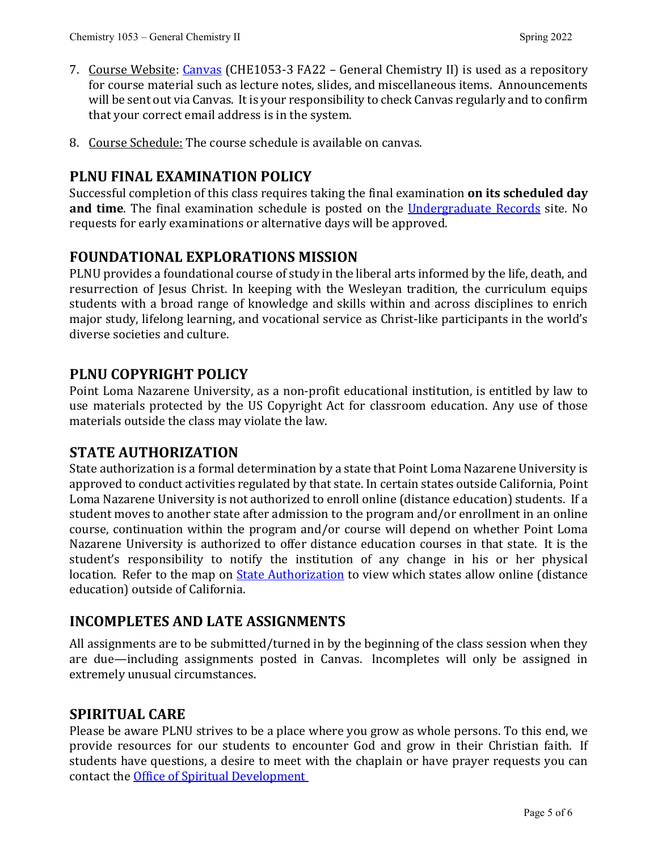- 7. Course Website: [Canvas](https://canvas.pointloma.edu/) (CHE1053-3 FA22 General Chemistry II) is used as a repository for course material such as lecture notes, slides, and miscellaneous items. Announcements will be sent out via Canvas. It is your responsibility to check Canvas regularly and to confirm that your correct email address is in the system.
- 8. Course Schedule: The course schedule is available on canvas.

#### **PLNU FINAL EXAMINATION POLICY**

Successful completion of this class requires taking the final examination **on its scheduled day and time**. The final examination schedule is posted on the [Undergraduate Records](https://www.pointloma.edu/offices/records/undergraduate-records) site. No requests for early examinations or alternative days will be approved.

#### **FOUNDATIONAL EXPLORATIONS MISSION**

PLNU provides a foundational course of study in the liberal arts informed by the life, death, and resurrection of Jesus Christ. In keeping with the Wesleyan tradition, the curriculum equips students with a broad range of knowledge and skills within and across disciplines to enrich major study, lifelong learning, and vocational service as Christ-like participants in the world's diverse societies and culture.

#### **PLNU COPYRIGHT POLICY**

Point Loma Nazarene University, as a non-profit educational institution, is entitled by law to use materials protected by the US Copyright Act for classroom education. Any use of those materials outside the class may violate the law.

#### **STATE AUTHORIZATION**

State authorization is a formal determination by a state that Point Loma Nazarene University is approved to conduct activities regulated by that state. In certain states outside California, Point Loma Nazarene University is not authorized to enroll online (distance education) students. If a student moves to another state after admission to the program and/or enrollment in an online course, continuation within the program and/or course will depend on whether Point Loma Nazarene University is authorized to offer distance education courses in that state. It is the student's responsibility to notify the institution of any change in his or her physical location. Refer to the map on [State Authorization](https://www.pointloma.edu/offices/office-institutional-effectiveness-research/disclosures) to view which states allow online (distance education) outside of California.

#### **INCOMPLETES AND LATE ASSIGNMENTS**

All assignments are to be submitted/turned in by the beginning of the class session when they are due—including assignments posted in Canvas. Incompletes will only be assigned in extremely unusual circumstances.

#### **SPIRITUAL CARE**

Please be aware PLNU strives to be a place where you grow as whole persons. To this end, we provide resources for our students to encounter God and grow in their Christian faith. If students have questions, a desire to meet with the chaplain or have prayer requests you can contact the [Office of Spiritual Development](https://www.pointloma.edu/offices/spiritual-development)